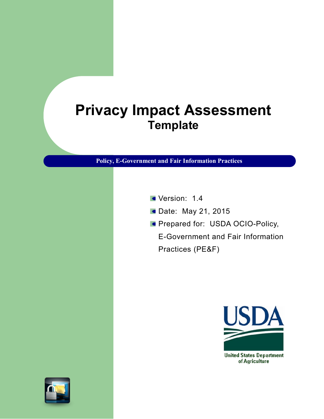# **Privacy Impact Assessment Template**

**Policy, E-Government and Fair Information Practices**

- Version: 1.4
- **Date: May 21, 2015**
- **Prepared for: USDA OCIO-Policy,**

E-Government and Fair Information Practices (PE&F)

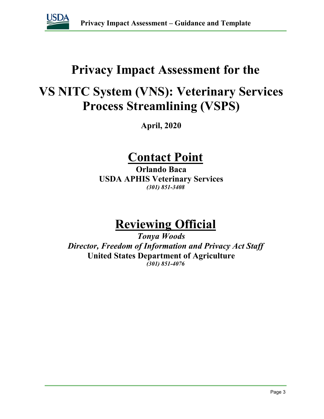

## **Privacy Impact Assessment for the**

## **VS NITC System (VNS): Veterinary Services Process Streamlining (VSPS)**

**April, 2020**

## **Contact Point**

**Orlando Baca USDA APHIS Veterinary Services** *(301) 851-3408*

# **Reviewing Official**

*Tonya Woods Director, Freedom of Information and Privacy Act Staff* **United States Department of Agriculture** *(301) 851-4076*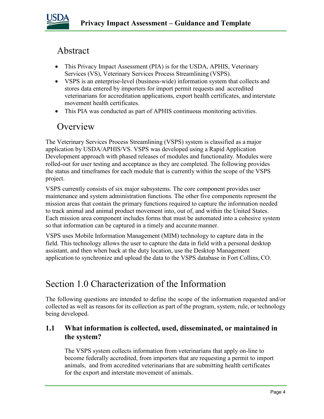

### Abstract

- This Privacy Impact Assessment (PIA) is for the USDA, APHIS, Veterinary Services (VS), Veterinary Services Process Streamlining (VSPS).
- VSPS is an enterprise-level (business-wide) information system that collects and stores data entered by importers for import permit requests and accredited veterinarians for accreditation applications, export health certificates, and interstate movement health certificates.
- This PIA was conducted as part of APHIS continuous monitoring activities.

### **Overview**

The Veterinary Services Process Streamlining (VSPS) system is classified as a major application by USDA/APHIS/VS. VSPS was developed using a Rapid Application Development approach with phased releases of modules and functionality. Modules were rolled-out for user testing and acceptance as they are completed. The following provides the status and timeframes for each module that is currently within the scope of the VSPS project.

VSPS currently consists of six major subsystems. The core component provides user maintenance and system administration functions. The other five components represent the mission areas that contain the primary functions required to capture the information needed to track animal and animal product movement into, out of, and within the United States. Each mission area component includes forms that must be automated into a cohesive system so that information can be captured in a timely and accurate manner.

VSPS uses Mobile Information Management (MIM) technology to capture data in the field. This technology allows the user to capture the data in field with a personal desktop assistant, and then when back at the duty location, use the Desktop Management application to synchronize and upload the data to the VSPS database in Fort Collins, CO.

### Section 1.0 Characterization of the Information

The following questions are intended to define the scope of the information requested and/or collected as well as reasons for its collection as part of the program, system, rule, or technology being developed.

#### **1.1 What information is collected, used, disseminated, or maintained in the system?**

The VSPS system collects information from veterinarians that apply on-line to become federally accredited, from importers that are requesting a permit to import animals, and from accredited veterinarians that are submitting health certificates for the export and interstate movement of animals.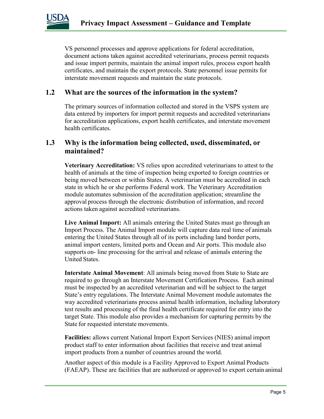

VS personnel processes and approve applications for federal accreditation, document actions taken against accredited veterinarians, process permit requests and issue import permits, maintain the animal import rules, process export health certificates, and maintain the export protocols. State personnel issue permits for interstate movement requests and maintain the state protocols.

#### **1.2 What are the sources of the information in the system?**

The primary sources of information collected and stored in the VSPS system are data entered by importers for import permit requests and accredited veterinarians for accreditation applications, export health certificates, and interstate movement health certificates.

#### **1.3 Why is the information being collected, used, disseminated, or maintained?**

**Veterinary Accreditation:** VS relies upon accredited veterinarians to attest to the health of animals at the time of inspection being exported to foreign countries or being moved between or within States. A veterinarian must be accredited in each state in which he or she performs Federal work. The Veterinary Accreditation module automates submission of the accreditation application; streamline the approval process through the electronic distribution of information, and record actions taken against accredited veterinarians.

**Live Animal Import:** All animals entering the United States must go through an Import Process. The Animal Import module will capture data real time of animals entering the United States through all of its ports including land border ports, animal import centers, limited ports and Ocean and Air ports. This module also supports on- line processing for the arrival and release of animals entering the United States.

**Interstate Animal Movement**: All animals being moved from State to State are required to go through an Interstate Movement Certification Process. Each animal must be inspected by an accredited veterinarian and will be subject to the target State's entry regulations. The Interstate Animal Movement module automates the way accredited veterinarians process animal health information, including laboratory test results and processing of the final health certificate required for entry into the target State. This module also provides a mechanism for capturing permits by the State for requested interstate movements.

**Facilities:** allows current National Import Export Services (NIES) animal import product staff to enter information about facilities that receive and treat animal import products from a number of countries around the world.

Another aspect of this module is a Facility Approved to Export Animal Products (FAEAP). These are facilities that are authorized or approved to export certain animal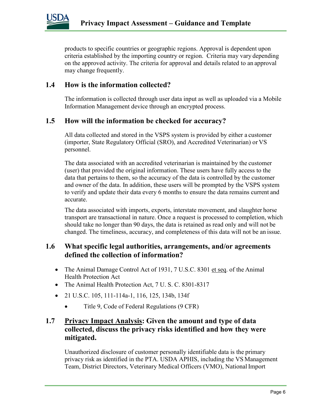

products to specific countries or geographic regions. Approval is dependent upon criteria established by the importing country or region. Criteria may vary depending on the approved activity. The criteria for approval and details related to an approval may change frequently.

#### **1.4 How is the information collected?**

The information is collected through user data input as well as uploaded via a Mobile Information Management device through an encrypted process.

#### **1.5 How will the information be checked for accuracy?**

All data collected and stored in the VSPS system is provided by either a customer (importer, State Regulatory Official (SRO), and Accredited Veterinarian) or VS personnel.

The data associated with an accredited veterinarian is maintained by the customer (user) that provided the original information. These users have fully access to the data that pertains to them, so the accuracy of the data is controlled by the customer and owner of the data. In addition, these users will be prompted by the VSPS system to verify and update their data every 6 months to ensure the data remains current and accurate.

The data associated with imports, exports, interstate movement, and slaughter horse transport are transactional in nature. Once a request is processed to completion, which should take no longer than 90 days, the data is retained as read only and will not be changed. The timeliness, accuracy, and completeness of this data will not be an issue.

#### **1.6 What specific legal authorities, arrangements, and/or agreements defined the collection of information?**

- The Animal Damage Control Act of 1931, 7 U.S.C. 8301 et seq. of the Animal Health Protection Act
- The Animal Health Protection Act, 7 U.S.C. 8301-8317
- 21 U.S.C. 105, 111-114a-1, 116, 125, 134b, 134f
	- Title 9, Code of Federal Regulations (9 CFR)

#### **1.7 Privacy Impact Analysis: Given the amount and type of data collected, discuss the privacy risks identified and how they were mitigated.**

Unauthorized disclosure of customer personally identifiable data is the primary privacy risk as identified in the PTA. USDA APHIS, including the VS Management Team, District Directors, Veterinary Medical Officers (VMO), National Import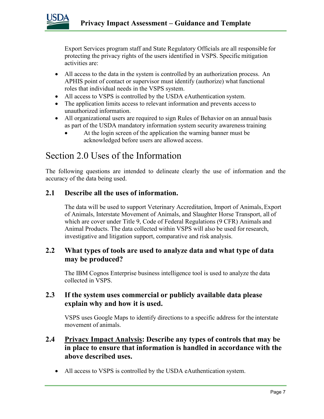

Export Services program staff and State Regulatory Officials are all responsible for protecting the privacy rights of the users identified in VSPS. Specific mitigation activities are:

- All access to the data in the system is controlled by an authorization process. An APHIS point of contact or supervisor must identify (authorize) what functional roles that individual needs in the VSPS system.
- All access to VSPS is controlled by the USDA eAuthentication system.
- The application limits access to relevant information and prevents access to unauthorized information.
- All organizational users are required to sign Rules of Behavior on an annual basis as part of the USDA mandatory information system security awarenesstraining
	- At the login screen of the application the warning banner must be acknowledged before users are allowed access.

## Section 2.0 Uses of the Information

The following questions are intended to delineate clearly the use of information and the accuracy of the data being used.

#### **2.1 Describe all the uses of information.**

The data will be used to support Veterinary Accreditation, Import of Animals, Export of Animals, Interstate Movement of Animals, and Slaughter Horse Transport, all of which are cover under Title 9, Code of Federal Regulations (9 CFR) Animals and Animal Products. The data collected within VSPS will also be used for research, investigative and litigation support, comparative and risk analysis.

#### **2.2 What types of tools are used to analyze data and what type of data may be produced?**

The IBM Cognos Enterprise business intelligence tool is used to analyze the data collected in VSPS.

#### **2.3 If the system uses commercial or publicly available data please explain why and how it is used.**

VSPS uses Google Maps to identify directions to a specific address for the interstate movement of animals.

- **2.4 Privacy Impact Analysis: Describe any types of controls that may be in place to ensure that information is handled in accordance with the above described uses.** 
	- All access to VSPS is controlled by the USDA eAuthentication system.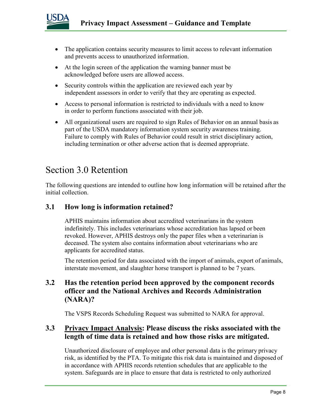

- The application contains security measures to limit access to relevant information and prevents access to unauthorized information.
- At the login screen of the application the warning banner must be acknowledged before users are allowed access.
- Security controls within the application are reviewed each year by independent assessors in order to verify that they are operating as expected.
- Access to personal information is restricted to individuals with a need to know in order to perform functions associated with their job.
- All organizational users are required to sign Rules of Behavior on an annual basis as part of the USDA mandatory information system security awareness training. Failure to comply with Rules of Behavior could result in strict disciplinary action, including termination or other adverse action that is deemed appropriate.

### Section 3.0 Retention

The following questions are intended to outline how long information will be retained after the initial collection.

#### **3.1 How long is information retained?**

APHIS maintains information about accredited veterinarians in the system indefinitely. This includes veterinarians whose accreditation has lapsed or been revoked. However, APHIS destroys only the paper files when a veterinarian is deceased. The system also contains information about veterinarians who are applicants for accredited status.

The retention period for data associated with the import of animals, export of animals, interstate movement, and slaughter horse transport is planned to be 7 years.

#### **3.2 Has the retention period been approved by the component records officer and the National Archives and Records Administration (NARA)?**

The VSPS Records Scheduling Request was submitted to NARA for approval.

#### **3.3 Privacy Impact Analysis: Please discuss the risks associated with the length of time data is retained and how those risks are mitigated.**

Unauthorized disclosure of employee and other personal data is the primary privacy risk, as identified by the PTA. To mitigate this risk data is maintained and disposed of in accordance with APHIS records retention schedules that are applicable to the system. Safeguards are in place to ensure that data is restricted to only authorized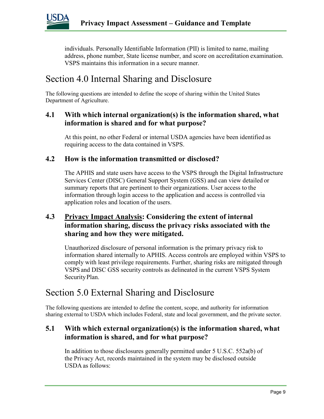

individuals. Personally Identifiable Information (PII) is limited to name, mailing address, phone number, State license number, and score on accreditation examination. VSPS maintains this information in a secure manner.

## Section 4.0 Internal Sharing and Disclosure

The following questions are intended to define the scope of sharing within the United States Department of Agriculture.

#### **4.1 With which internal organization(s) is the information shared, what information is shared and for what purpose?**

At this point, no other Federal or internal USDA agencies have been identified as requiring access to the data contained in VSPS.

#### **4.2 How is the information transmitted or disclosed?**

The APHIS and state users have access to the VSPS through the Digital Infrastructure Services Center (DISC) General Support System (GSS) and can view detailed or summary reports that are pertinent to their organizations. User access to the information through login access to the application and access is controlled via application roles and location of the users.

#### **4.3 Privacy Impact Analysis: Considering the extent of internal information sharing, discuss the privacy risks associated with the sharing and how they were mitigated.**

Unauthorized disclosure of personal information is the primary privacy risk to information shared internally to APHIS. Access controls are employed within VSPS to comply with least privilege requirements. Further, sharing risks are mitigated through VSPS and DISC GSS security controls as delineated in the current VSPS System SecurityPlan.

### Section 5.0 External Sharing and Disclosure

The following questions are intended to define the content, scope, and authority for information sharing external to USDA which includes Federal, state and local government, and the private sector.

#### **5.1 With which external organization(s) is the information shared, what information is shared, and for what purpose?**

In addition to those disclosures generally permitted under 5 U.S.C. 552a(b) of the Privacy Act, records maintained in the system may be disclosed outside USDA as follows: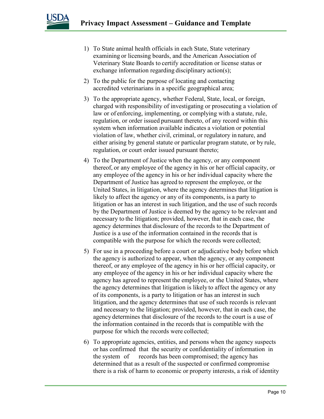

- 1) To State animal health officials in each State, State veterinary examining or licensing boards, and the American Association of Veterinary State Boards to certify accreditation or license status or exchange information regarding disciplinary action(s);
- 2) To the public for the purpose of locating and contacting accredited veterinarians in a specific geographical area;
- 3) To the appropriate agency, whether Federal, State, local, or foreign, charged with responsibility of investigating or prosecuting a violation of law or of enforcing, implementing, or complying with a statute, rule, regulation, or order issued pursuant thereto, of any record within this system when information available indicates a violation or potential violation of law, whether civil, criminal, or regulatory in nature, and either arising by general statute or particular program statute, or by rule, regulation, or court order issued pursuant thereto;
- 4) To the Department of Justice when the agency, or any component thereof, or any employee of the agency in his or her official capacity, or any employee ofthe agency in his or her individual capacity where the Department of Justice has agreed to represent the employee, or the United States, in litigation, where the agency determines that litigation is likely to affect the agency or any of its components, is a party to litigation or has an interest in such litigation, and the use of such records by the Department of Justice is deemed by the agency to be relevant and necessary to the litigation; provided, however, that in each case, the agency determines that disclosure of the records to the Department of Justice is a use of the information contained in the records that is compatible with the purpose for which the records were collected;
- 5) For use in a proceeding before a court or adjudicative body before which the agency is authorized to appear, when the agency, or any component thereof, or any employee of the agency in his or her official capacity, or any employee of the agency in his or her individual capacity where the agency has agreed to represent the employee, or the United States, where the agency determines that litigation is likely to affect the agency or any of its components, is a party to litigation or has an interest in such litigation, and the agency determines that use of such records is relevant and necessary to the litigation; provided, however, that in each case, the agency determines that disclosure of the records to the court is a use of the information contained in the records that is compatible with the purpose for which the records were collected;
- 6) To appropriate agencies, entities, and persons when the agency suspects or has confirmed that the security or confidentiality of information in the system of records has been compromised; the agency has determined that as a result of the suspected or confirmed compromise there is a risk of harm to economic or property interests, a risk of identity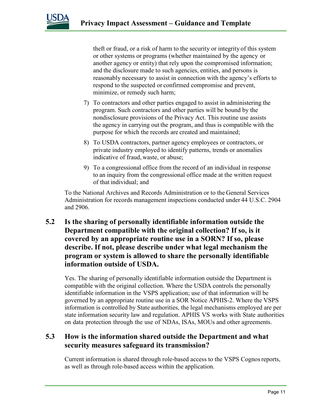

theft or fraud, or a risk of harm to the security or integrity of this system or other systems or programs (whether maintained by the agency or another agency or entity) that rely upon the compromised information; and the disclosure made to such agencies, entities, and persons is reasonably necessary to assist in connection with the agency's efforts to respond to the suspected or confirmed compromise and prevent, minimize, or remedy such harm;

- 7) To contractors and other parties engaged to assist in administering the program. Such contractors and other parties will be bound by the nondisclosure provisions of the Privacy Act. This routine use assists the agency in carrying out the program, and thus is compatible with the purpose for which the records are created and maintained;
- 8) To USDA contractors, partner agency employees or contractors, or private industry employed to identify patterns, trends or anomalies indicative of fraud, waste, or abuse;
- 9) To a congressional office from the record of an individual in response to an inquiry from the congressional office made at the written request of that individual; and

To the National Archives and Records Administration or to the General Services Administration for records management inspections conducted under 44 U.S.C. 2904 and 2906.

**5.2 Is the sharing of personally identifiable information outside the Department compatible with the original collection? If so, is it covered by an appropriate routine use in a SORN? If so, please describe. If not, please describe under what legal mechanism the program or system is allowed to share the personally identifiable information outside of USDA.** 

Yes. The sharing of personally identifiable information outside the Department is compatible with the original collection. Where the USDA controls the personally identifiable information in the VSPS application; use of that information will be governed by an appropriate routine use in a SOR Notice APHIS-2. Where the VSPS information is controlled by State authorities, the legal mechanisms employed are per state information security law and regulation. APHIS VS works with State authorities on data protection through the use of NDAs, ISAs, MOUs and other agreements.

#### **5.3 How is the information shared outside the Department and what security measures safeguard its transmission?**

Current information is shared through role-based access to the VSPS Cognosreports, as well as through role-based access within the application.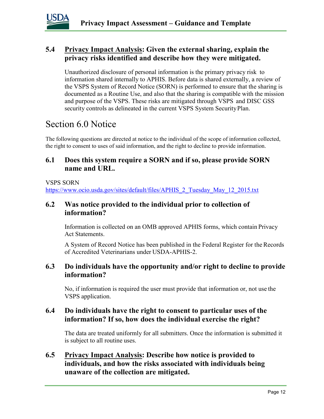

#### **5.4 Privacy Impact Analysis: Given the external sharing, explain the privacy risks identified and describe how they were mitigated.**

Unauthorized disclosure of personal information is the primary privacy risk to information shared internally to APHIS. Before data is shared externally, a review of the VSPS System of Record Notice (SORN) is performed to ensure that the sharing is documented as a Routine Use, and also that the sharing is compatible with the mission and purpose of the VSPS. These risks are mitigated through VSPS and DISC GSS security controls as delineated in the current VSPS System SecurityPlan.

### Section 6.0 Notice

The following questions are directed at notice to the individual of the scope of information collected, the right to consent to uses of said information, and the right to decline to provide information.

#### **6.1 Does this system require a SORN and if so, please provide SORN name and URL.**

#### VSPS SORN

[https://www.ocio.usda.gov/sites/default/files/APHIS\\_2\\_Tuesday\\_May\\_12\\_2015.txt](https://www.ocio.usda.gov/sites/default/files/APHIS_2_Tuesday_May_12_2015.txt)

#### **6.2 Was notice provided to the individual prior to collection of information?**

Information is collected on an OMB approved APHIS forms, which contain Privacy Act Statements.

A System of Record Notice has been published in the Federal Register for theRecords of Accredited Veterinarians under USDA-APHIS-2.

#### **6.3 Do individuals have the opportunity and/or right to decline to provide information?**

No, if information is required the user must provide that information or, not use the VSPS application.

#### **6.4 Do individuals have the right to consent to particular uses of the information? If so, how does the individual exercise the right?**

The data are treated uniformly for all submitters. Once the information is submitted it is subject to all routine uses.

**6.5 Privacy Impact Analysis: Describe how notice is provided to individuals, and how the risks associated with individuals being unaware of the collection are mitigated.**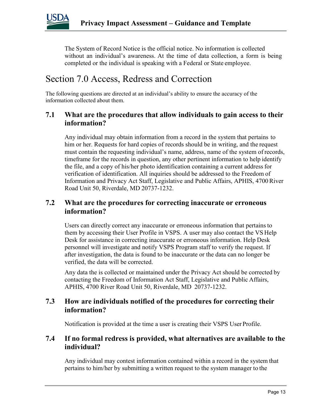

The System of Record Notice is the official notice. No information is collected without an individual's awareness. At the time of data collection, a form is being completed or the individual is speaking with a Federal or State employee.

## Section 7.0 Access, Redress and Correction

The following questions are directed at an individual's ability to ensure the accuracy of the information collected about them.

#### **7.1 What are the procedures that allow individuals to gain access to their information?**

Any individual may obtain information from a record in the system that pertains to him or her. Requests for hard copies of records should be in writing, and the request must contain the requesting individual's name, address, name of the system of records, timeframe for the records in question, any other pertinent information to help identify the file, and a copy of his/her photo identification containing a current address for verification of identification. All inquiries should be addressed to the Freedom of Information and Privacy Act Staff, Legislative and Public Affairs, APHIS, 4700River Road Unit 50, Riverdale, MD 20737-1232.

#### **7.2 What are the procedures for correcting inaccurate or erroneous information?**

Users can directly correct any inaccurate or erroneous information that pertains to them by accessing their User Profile in VSPS. A user may also contact the VS Help Desk for assistance in correcting inaccurate or erroneous information. Help Desk personnel will investigate and notify VSPS Program staff to verify the request. If after investigation, the data is found to be inaccurate or the data can no longer be verified, the data will be corrected.

Any data the is collected or maintained under the Privacy Act should be corrected by contacting the Freedom of Information Act Staff, Legislative and Public Affairs, APHIS, 4700 River Road Unit 50, Riverdale, MD 20737-1232.

#### **7.3 How are individuals notified of the procedures for correcting their information?**

Notification is provided at the time a user is creating their VSPS User Profile.

#### **7.4 If no formal redress is provided, what alternatives are available to the individual?**

Any individual may contest information contained within a record in the system that pertains to him/her by submitting a written request to the system manager to the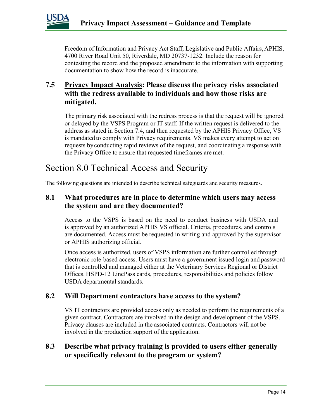

Freedom of Information and Privacy Act Staff, Legislative and Public Affairs, APHIS, 4700 River Road Unit 50, Riverdale, MD 20737-1232. Include the reason for contesting the record and the proposed amendment to the information with supporting documentation to show how the record is inaccurate.

#### **7.5 Privacy Impact Analysis: Please discuss the privacy risks associated with the redress available to individuals and how those risks are mitigated.**

The primary risk associated with the redress process is that the request will be ignored or delayed by the VSPS Program or IT staff. If the written request is delivered to the address as stated in Section 7.4, and then requested by the APHIS Privacy Office, VS is mandated to comply with Privacy requirements. VS makes every attempt to act on requests byconducting rapid reviews of the request, and coordinating a response with the Privacy Office to ensure that requested timeframes are met.

## Section 8.0 Technical Access and Security

The following questions are intended to describe technical safeguards and security measures.

#### **8.1 What procedures are in place to determine which users may access the system and are they documented?**

Access to the VSPS is based on the need to conduct business with USDA and is approved by an authorized APHIS VS official. Criteria, procedures, and controls are documented. Access must be requested in writing and approved by the supervisor or APHIS authorizing official.

Once access is authorized, users of VSPS information are further controlled through electronic role-based access. Users must have a government issued login and password that is controlled and managed either at the Veterinary Services Regional or District Offices. HSPD-12 LincPass cards, procedures, responsibilities and policies follow USDA departmental standards.

#### **8.2 Will Department contractors have access to the system?**

VS IT contractors are provided access only as needed to perform the requirements of a given contract. Contractors are involved in the design and development of the VSPS. Privacy clauses are included in the associated contracts. Contractors will not be involved in the production support of the application.

#### **8.3 Describe what privacy training is provided to users either generally or specifically relevant to the program or system?**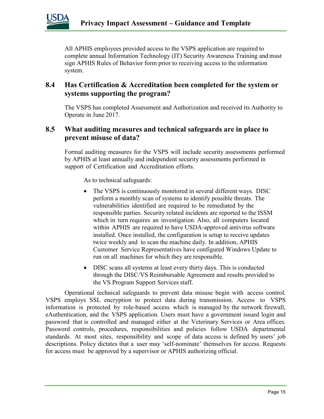

All APHIS employees provided access to the VSPS application are required to complete annual Information Technology (IT) Security Awareness Training and must sign APHIS Rules of Behavior form prior to receiving access to the information system.

#### **8.4 Has Certification & Accreditation been completed for the system or systems supporting the program?**

The VSPS has completed Assessment and Authorization and received its Authority to Operate in June 2017.

#### **8.5 What auditing measures and technical safeguards are in place to prevent misuse of data?**

Formal auditing measures for the VSPS will include security assessments performed by APHIS at least annually and independent security assessments performed in support of Certification and Accreditation efforts.

As to technical safeguards:

- The VSPS is continuously monitored in several different ways. DISC perform a monthly scan of systems to identify possible threats. The vulnerabilities identified are required to be remediated by the responsible parties. Security related incidents are reported to the ISSM which in turn requires an investigation. Also, all computers located within APHIS are required to have USDA-approved antivirus software installed. Once installed, the configuration is setup to receive updates twice weekly and to scan the machine daily. In addition, APHIS Customer Service Representatives have configured Windows Update to run on all machines for which they are responsible.
- DISC scans all systems at least every thirty days. This is conducted through the DISC/VS Reimbursable Agreement and results provided to the VS Program Support Services staff.

Operational technical safeguards to prevent data misuse begin with access control. VSPS employs SSL encryption to protect data during transmission. Access to VSPS information is protected by role-based access which is managed by the network firewall, eAuthentication, and the VSPS application. Users must have a government issued login and password that is controlled and managed either at the Veterinary Services or Area offices. Password controls, procedures, responsibilities and policies follow USDA departmental standards. At most sites, responsibility and scope of data access is defined by users' job descriptions. Policy dictates that a user may 'self-nominate' themselves for access. Requests for access must be approved by a supervisor or APHIS authorizing official.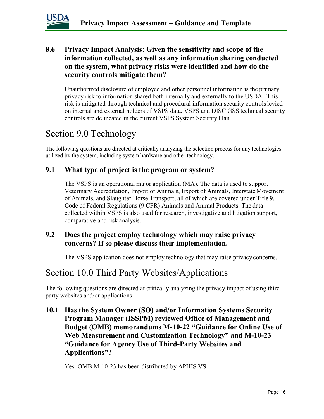

#### **8.6 Privacy Impact Analysis: Given the sensitivity and scope of the information collected, as well as any information sharing conducted on the system, what privacy risks were identified and how do the security controls mitigate them?**

Unauthorized disclosure of employee and other personnel information is the primary privacy risk to information shared both internally and externally to the USDA. This risk is mitigated through technical and procedural information security controlslevied on internal and external holders of VSPS data. VSPS and DISC GSS technical security controls are delineated in the current VSPS System Security Plan.

## Section 9.0 Technology

The following questions are directed at critically analyzing the selection process for any technologies utilized by the system, including system hardware and other technology.

#### **9.1 What type of project is the program or system?**

The VSPS is an operational major application (MA). The data is used to support Veterinary Accreditation, Import of Animals, Export of Animals, Interstate Movement of Animals, and Slaughter Horse Transport, all of which are covered under Title 9, Code of Federal Regulations (9 CFR) Animals and Animal Products. The data collected within VSPS is also used for research, investigative and litigation support, comparative and risk analysis.

#### **9.2 Does the project employ technology which may raise privacy concerns? If so please discuss their implementation.**

The VSPS application does not employ technology that may raise privacy concerns.

### Section 10.0 Third Party Websites/Applications

The following questions are directed at critically analyzing the privacy impact of using third party websites and/or applications.

**10.1 Has the System Owner (SO) and/or Information Systems Security Program Manager (ISSPM) reviewed Office of Management and Budget (OMB) memorandums M-10-22 "Guidance for Online Use of Web Measurement and Customization Technology" and M-10-23 "Guidance for Agency Use of Third-Party Websites and Applications"?**

Yes. OMB M-10-23 has been distributed by APHIS VS.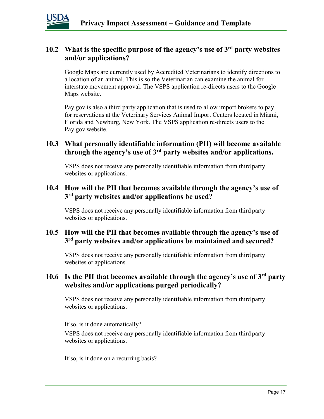

#### **10.2 What is the specific purpose of the agency's use of 3rd party websites and/or applications?**

Google Maps are currently used by Accredited Veterinarians to identify directions to a location of an animal. This is so the Veterinarian can examine the animal for interstate movement approval. The VSPS application re-directs users to the Google Maps website.

Pay.gov is also a third party application that is used to allow import brokers to pay for reservations at the Veterinary Services Animal Import Centers located in Miami, Florida and Newburg, New York. The VSPS application re-directs users to the Pay.gov website.

#### **10.3 What personally identifiable information (PII) will become available through the agency's use of 3rd party websites and/or applications.**

VSPS does not receive any personally identifiable information from third party websites or applications.

#### **10.4 How will the PII that becomes available through the agency's use of 3rd party websites and/or applications be used?**

VSPS does not receive any personally identifiable information from third party websites or applications.

#### **10.5 How will the PII that becomes available through the agency's use of 3rd party websites and/or applications be maintained and secured?**

VSPS does not receive any personally identifiable information from third party websites or applications.

#### **10.6 Is the PII that becomes available through the agency's use of 3rd party websites and/or applications purged periodically?**

VSPS does not receive any personally identifiable information from third party websites or applications.

If so, is it done automatically?

VSPS does not receive any personally identifiable information from third party websites or applications.

If so, is it done on a recurring basis?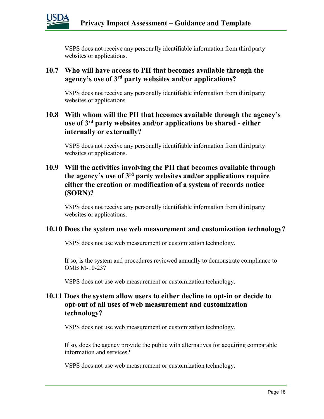

VSPS does not receive any personally identifiable information from third party websites or applications.

#### **10.7 Who will have access to PII that becomes available through the agency's use of 3rd party websites and/or applications?**

VSPS does not receive any personally identifiable information from third party websites or applications.

#### **10.8 With whom will the PII that becomes available through the agency's use of 3rd party websites and/or applications be shared - either internally or externally?**

VSPS does not receive any personally identifiable information from third party websites or applications.

#### **10.9 Will the activities involving the PII that becomes available through the agency's use of 3rd party websites and/or applications require either the creation or modification of a system of records notice (SORN)?**

VSPS does not receive any personally identifiable information from third party websites or applications.

#### **10.10 Does the system use web measurement and customization technology?**

VSPS does not use web measurement or customization technology.

If so, is the system and procedures reviewed annually to demonstrate compliance to OMB M-10-23?

VSPS does not use web measurement or customization technology.

#### **10.11 Does the system allow users to either decline to opt-in or decide to opt-out of all uses of web measurement and customization technology?**

VSPS does not use web measurement or customization technology.

If so, does the agency provide the public with alternatives for acquiring comparable information and services?

VSPS does not use web measurement or customization technology.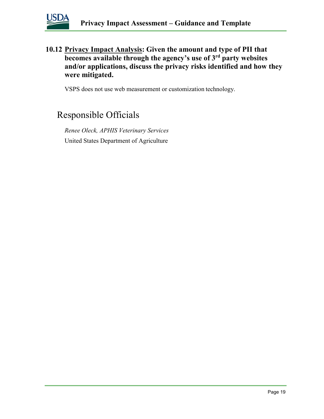

**10.12 Privacy Impact Analysis: Given the amount and type of PII that becomes available through the agency's use of 3rd party websites and/or applications, discuss the privacy risks identified and how they were mitigated.** 

VSPS does not use web measurement or customization technology.

## Responsible Officials

*Renee Oleck, APHIS Veterinary Services* United States Department of Agriculture